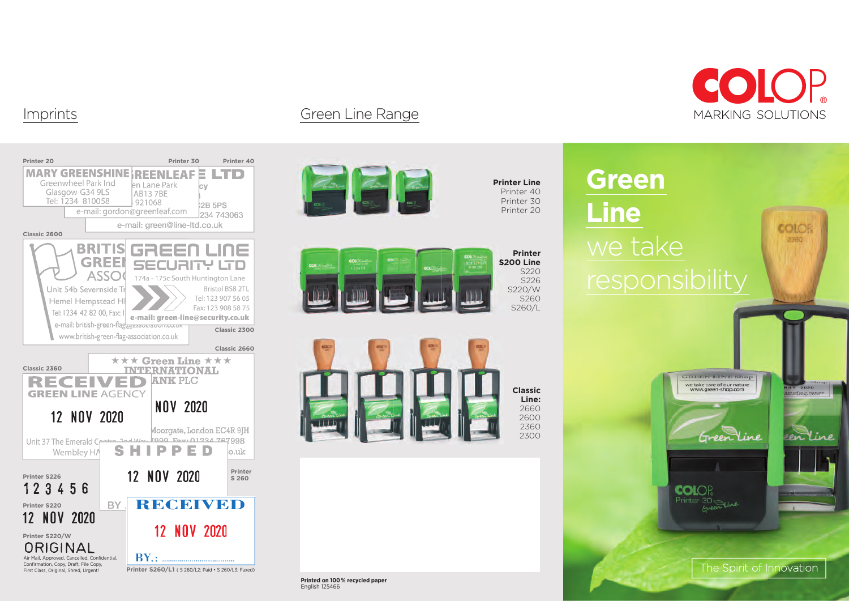

## Imprints Green Line Range



COLOP

**MARKING SOLUTIONS**